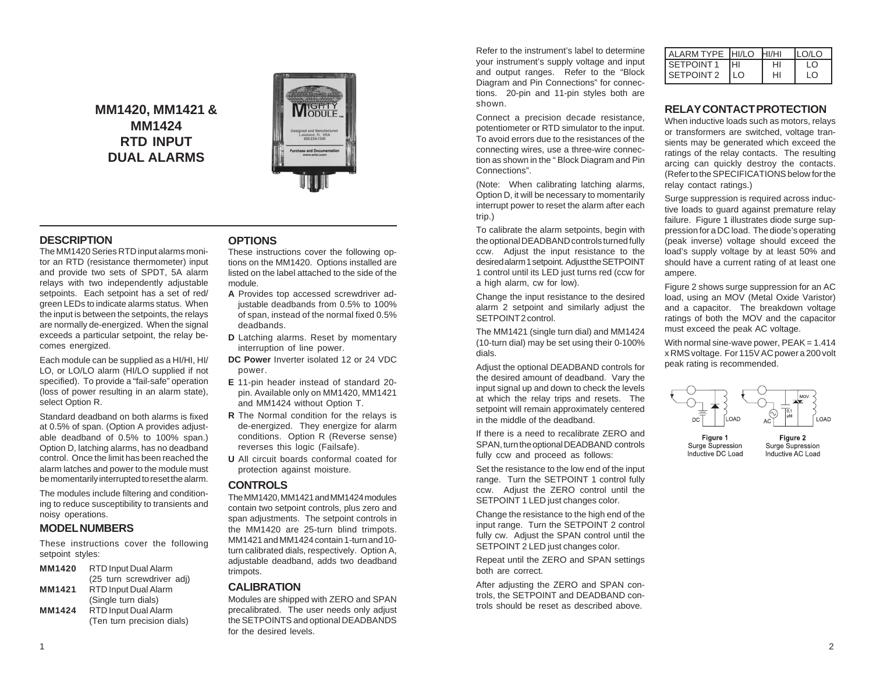**MM1420, MM1421 & MM1424 RTD INPUT DUAL ALARMS**



## **DESCRIPTION**

The MM1420 Series RTD input alarms monitor an RTD (resistance thermometer) input and provide two sets of SPDT, 5A alarm relays with two independently adjustable setpoints. Each setpoint has a set of red/ green LEDs to indicate alarms status. When the input is between the setpoints, the relays are normally de-energized. When the signal exceeds a particular setpoint, the relay becomes energized.

Each module can be supplied as a HI/HI, HI/ LO, or LO/LO alarm (HI/LO supplied if not specified). To provide a "fail-safe" operation (loss of power resulting in an alarm state), select Option R.

Standard deadband on both alarms is fixed at 0.5% of span. (Option A provides adjustable deadband of 0.5% to 100% span.) Option D, latching alarms, has no deadband control. Once the limit has been reached the alarm latches and power to the module must be momentarily interrupted to reset the alarm.

The modules include filtering and conditioning to reduce susceptibility to transients and noisy operations.

## **MODEL NUMBERS**

These instructions cover the following setpoint styles:

| MM1420 | RTD Input Dual Alarm        |  |
|--------|-----------------------------|--|
|        | (25 turn screwdriver adj)   |  |
| MM1421 | RTD Input Dual Alarm        |  |
|        | (Single turn dials)         |  |
| MM1424 | <b>RTD Input Dual Alarm</b> |  |
|        | (Ten turn precision dials)  |  |

### **OPTIONS**

These instructions cover the following options on the MM1420. Options installed are listed on the label attached to the side of the module.

- **A** Provides top accessed screwdriver adjustable deadbands from 0.5% to 100% of span, instead of the normal fixed 0.5% deadbands.
- **D** Latching alarms. Reset by momentary interruption of line power.
- **DC Power** Inverter isolated 12 or 24 VDC power.
- **E** 11-pin header instead of standard 20 pin. Available only on MM1420, MM1421 and MM1424 without Option T.
- **R** The Normal condition for the relays is de-energized. They energize for alarm conditions. Option R (Reverse sense) reverses this logic (Failsafe).
- **U** All circuit boards conformal coated for protection against moisture.

### **CONTROLS**

The MM1420, MM1421 and MM1424 modules contain two setpoint controls, plus zero and span adjustments. The setpoint controls in the MM1420 are 25-turn blind trimpots. MM1421 and MM1424 contain 1-turn and 10 turn calibrated dials, respectively. Option A, adjustable deadband, adds two deadband trimpots.

### **CALIBRATION**

Modules are shipped with ZERO and SPAN precalibrated. The user needs only adjust the SETPOINTS and optional DEADBANDS for the desired levels.

Refer to the instrument's label to determine your instrument's supply voltage and input and output ranges. Refer to the "Block Diagram and Pin Connections" for connections. 20-pin and 11-pin styles both are shown.

Connect a precision decade resistance, potentiometer or RTD simulator to the input. To avoid errors due to the resistances of the connecting wires, use a three-wire connection as shown in the " Block Diagram and Pin Connections".

(Note: When calibrating latching alarms, Option D, it will be necessary to momentarily interrupt power to reset the alarm after each trip.)

To calibrate the alarm setpoints, begin with the optional DEADBAND controls turned fully ccw. Adjust the input resistance to the desired alarm 1 setpoint. Adjust the SETPOINT 1 control until its LED just turns red (ccw for a high alarm, cw for low).

Change the input resistance to the desired alarm 2 setpoint and similarly adjust the SETPOINT 2 control.

The MM1421 (single turn dial) and MM1424 (10-turn dial) may be set using their 0-100% dials.

Adjust the optional DEADBAND controls for the desired amount of deadband. Vary the input signal up and down to check the levels at which the relay trips and resets. The setpoint will remain approximately centered in the middle of the deadband.

If there is a need to recalibrate ZERO and SPAN, turn the optional DEADBAND controls fully ccw and proceed as follows:

Set the resistance to the low end of the input range. Turn the SETPOINT 1 control fully ccw. Adjust the ZERO control until the SETPOINT 1 LED just changes color.

Change the resistance to the high end of the input range. Turn the SETPOINT 2 control fully cw. Adjust the SPAN control until the SETPOINT 2 LED just changes color.

Repeat until the ZERO and SPAN settings both are correct.

After adjusting the ZERO and SPAN controls, the SETPOINT and DEADBAND controls should be reset as described above.

| ALARM TYPE HI/LO |      | HI/HI | <b>ILO/LO</b> |
|------------------|------|-------|---------------|
| <b>SETPOINT1</b> | Iнı  | HI    | ၊ ဂ           |
| SETPOINT 2       | I LO | HI    | I O           |

### **RELAY CONTACT PROTECTION**

When inductive loads such as motors, relays or transformers are switched, voltage transients may be generated which exceed the ratings of the relay contacts. The resulting arcing can quickly destroy the contacts. (Refer to the SPECIFICATIONS below for the relay contact ratings.)

Surge suppression is required across inductive loads to quard against premature relay failure. Figure 1 illustrates diode surge suppression for a DC load. The diode's operating (peak inverse) voltage should exceed the load's supply voltage by at least 50% and should have a current rating of at least one ampere.

Figure 2 shows surge suppression for an AC load, using an MOV (Metal Oxide Varistor) and a capacitor. The breakdown voltage ratings of both the MOV and the capacitor must exceed the peak AC voltage.

With normal sine-wave power,  $PEAK = 1.414$ x RMS voltage. For 115V AC power a 200 volt peak rating is recommended.



Figure 1 Surge Supression Inductive DC Load

Figure 2 Surge Supression Inductive AC Load